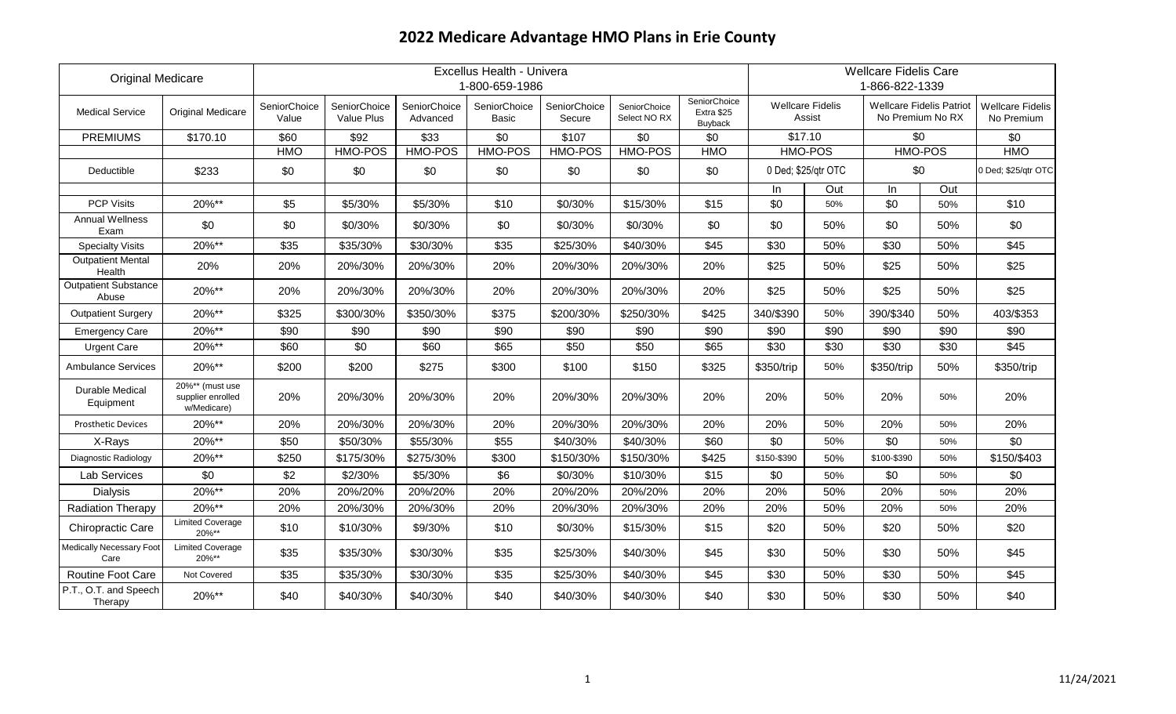| <b>Original Medicare</b>             |                                                     |                       | Excellus Health - Univera<br>1-800-659-1986 |                          |                       |                        |                              |                                       | <b>Wellcare Fidelis Care</b><br>1-866-822-1339 |                                   |                                                     |      |                                       |
|--------------------------------------|-----------------------------------------------------|-----------------------|---------------------------------------------|--------------------------|-----------------------|------------------------|------------------------------|---------------------------------------|------------------------------------------------|-----------------------------------|-----------------------------------------------------|------|---------------------------------------|
| <b>Medical Service</b>               | <b>Original Medicare</b>                            | SeniorChoice<br>Value | SeniorChoice<br>Value Plus                  | SeniorChoice<br>Advanced | SeniorChoice<br>Basic | SeniorChoice<br>Secure | SeniorChoice<br>Select NO RX | SeniorChoice<br>Extra \$25<br>Buyback |                                                | <b>Wellcare Fidelis</b><br>Assist | <b>Wellcare Fidelis Patriot</b><br>No Premium No RX |      | <b>Wellcare Fidelis</b><br>No Premium |
| <b>PREMIUMS</b>                      | \$170.10                                            | \$60                  | \$92                                        | \$33                     | \$0                   | \$107                  | \$0                          | \$0                                   |                                                | \$17.10                           | \$0                                                 |      | \$0                                   |
|                                      |                                                     | <b>HMO</b>            | HMO-POS                                     | <b>HMO-POS</b>           | HMO-POS               | <b>HMO-POS</b>         | HMO-POS                      | <b>HMO</b>                            |                                                | <b>HMO-POS</b>                    | <b>HMO-POS</b>                                      |      | <b>HMO</b>                            |
| Deductible                           | \$233                                               | \$0                   | \$0                                         | \$0                      | \$0                   | \$0                    | \$0                          | \$0                                   |                                                | 0 Ded; \$25/qtr OTC               | \$0                                                 |      | 0 Ded; \$25/qtr OTC                   |
|                                      |                                                     |                       |                                             |                          |                       |                        |                              |                                       | In                                             | Out                               | In                                                  | Out  |                                       |
| <b>PCP Visits</b>                    | 20%**                                               | \$5                   | \$5/30%                                     | \$5/30%                  | \$10                  | \$0/30%                | \$15/30%                     | \$15                                  | \$0                                            | 50%                               | \$0                                                 | 50%  | \$10                                  |
| <b>Annual Wellness</b><br>Exam       | \$0                                                 | \$0                   | \$0/30%                                     | \$0/30%                  | \$0                   | \$0/30%                | \$0/30%                      | \$0                                   | \$0                                            | 50%                               | \$0                                                 | 50%  | \$0                                   |
| <b>Specialty Visits</b>              | 20%**                                               | \$35                  | \$35/30%                                    | \$30/30%                 | \$35                  | \$25/30%               | \$40/30%                     | \$45                                  | \$30                                           | 50%                               | \$30                                                | 50%  | \$45                                  |
| <b>Outpatient Mental</b><br>Health   | 20%                                                 | 20%                   | 20%/30%                                     | 20%/30%                  | 20%                   | 20%/30%                | 20%/30%                      | 20%                                   | \$25                                           | 50%                               | \$25                                                | 50%  | \$25                                  |
| <b>Outpatient Substance</b><br>Abuse | 20%**                                               | 20%                   | 20%/30%                                     | 20%/30%                  | 20%                   | 20%/30%                | 20%/30%                      | 20%                                   | \$25                                           | 50%                               | \$25                                                | 50%  | \$25                                  |
| <b>Outpatient Surgery</b>            | 20%**                                               | \$325                 | \$300/30%                                   | \$350/30%                | \$375                 | \$200/30%              | \$250/30%                    | \$425                                 | 340/\$390                                      | 50%                               | 390/\$340                                           | 50%  | 403/\$353                             |
| <b>Emergency Care</b>                | 20%**                                               | \$90                  | \$90                                        | \$90                     | \$90                  | \$90                   | \$90                         | \$90                                  | \$90                                           | \$90                              | \$90                                                | \$90 | \$90                                  |
| <b>Urgent Care</b>                   | 20%**                                               | \$60                  | \$0                                         | \$60                     | \$65                  | \$50                   | \$50                         | \$65                                  | \$30                                           | \$30                              | \$30                                                | \$30 | \$45                                  |
| <b>Ambulance Services</b>            | 20%**                                               | \$200                 | \$200                                       | \$275                    | \$300                 | \$100                  | \$150                        | \$325                                 | \$350/trip                                     | 50%                               | \$350/trip                                          | 50%  | \$350/trip                            |
| Durable Medical<br>Equipment         | 20%** (must use<br>supplier enrolled<br>w/Medicare) | 20%                   | 20%/30%                                     | 20%/30%                  | 20%                   | 20%/30%                | 20%/30%                      | 20%                                   | 20%                                            | 50%                               | 20%                                                 | 50%  | 20%                                   |
| <b>Prosthetic Devices</b>            | 20%**                                               | 20%                   | 20%/30%                                     | 20%/30%                  | 20%                   | 20%/30%                | 20%/30%                      | 20%                                   | 20%                                            | 50%                               | 20%                                                 | 50%  | 20%                                   |
| X-Rays                               | 20%**                                               | \$50                  | \$50/30%                                    | \$55/30%                 | \$55                  | \$40/30%               | \$40/30%                     | \$60                                  | \$0                                            | 50%                               | \$0                                                 | 50%  | \$0                                   |
| Diagnostic Radiology                 | 20%**                                               | \$250                 | \$175/30%                                   | \$275/30%                | \$300                 | \$150/30%              | \$150/30%                    | \$425                                 | \$150-\$390                                    | 50%                               | \$100-\$390                                         | 50%  | \$150/\$403                           |
| Lab Services                         | \$0                                                 | \$2                   | \$2/30%                                     | \$5/30%                  | \$6                   | \$0/30%                | \$10/30%                     | \$15                                  | \$0                                            | 50%                               | \$0                                                 | 50%  | \$0                                   |
| <b>Dialysis</b>                      | 20%**                                               | 20%                   | 20%/20%                                     | 20%/20%                  | 20%                   | 20%/20%                | 20%/20%                      | 20%                                   | 20%                                            | 50%                               | 20%                                                 | 50%  | 20%                                   |
| <b>Radiation Therapy</b>             | 20%**                                               | 20%                   | 20%/30%                                     | 20%/30%                  | 20%                   | 20%/30%                | 20%/30%                      | 20%                                   | 20%                                            | 50%                               | 20%                                                 | 50%  | 20%                                   |
| Chiropractic Care                    | <b>Limited Coverage</b><br>20%**                    | \$10                  | \$10/30%                                    | \$9/30%                  | \$10                  | \$0/30%                | \$15/30%                     | \$15                                  | \$20                                           | 50%                               | \$20                                                | 50%  | \$20                                  |
| Medically Necessary Foot<br>Care     | <b>Limited Coverage</b><br>20%**                    | \$35                  | \$35/30%                                    | \$30/30%                 | \$35                  | \$25/30%               | \$40/30%                     | \$45                                  | \$30                                           | 50%                               | \$30                                                | 50%  | \$45                                  |
| Routine Foot Care                    | Not Covered                                         | \$35                  | \$35/30%                                    | \$30/30%                 | \$35                  | \$25/30%               | \$40/30%                     | \$45                                  | \$30                                           | 50%                               | \$30                                                | 50%  | \$45                                  |
| P.T., O.T. and Speech<br>Therapy     | 20%**                                               | \$40                  | \$40/30%                                    | \$40/30%                 | \$40                  | \$40/30%               | \$40/30%                     | \$40                                  | \$30                                           | 50%                               | \$30                                                | 50%  | \$40                                  |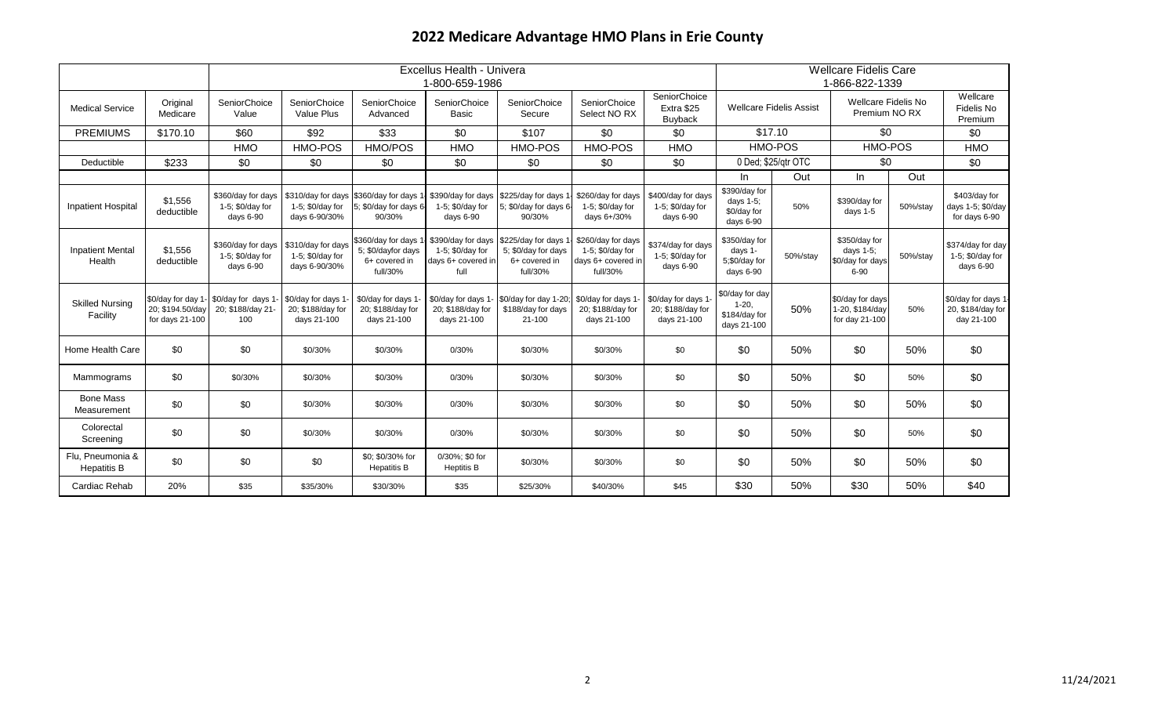|                                        | Excellus Health - Univera<br>1-800-659-1986 |                                                                    |                                                         |                                                                              |                                                         |                                                                                                                   |                                                                          | <b>Wellcare Fidelis Care</b><br>1-866-822-1339         |                                                             |                                |                                                            |          |                                                        |
|----------------------------------------|---------------------------------------------|--------------------------------------------------------------------|---------------------------------------------------------|------------------------------------------------------------------------------|---------------------------------------------------------|-------------------------------------------------------------------------------------------------------------------|--------------------------------------------------------------------------|--------------------------------------------------------|-------------------------------------------------------------|--------------------------------|------------------------------------------------------------|----------|--------------------------------------------------------|
| <b>Medical Service</b>                 | Original<br>Medicare                        | SeniorChoice<br>Value                                              | SeniorChoice<br>Value Plus                              | SeniorChoice<br>Advanced                                                     | SeniorChoice<br><b>Basic</b>                            | SeniorChoice<br>Secure                                                                                            | SeniorChoice<br>Select NO RX                                             | SeniorChoice<br>Extra \$25<br><b>Buyback</b>           |                                                             | <b>Wellcare Fidelis Assist</b> | Wellcare Fidelis No<br>Premium NO RX                       |          | Wellcare<br>Fidelis No<br>Premium                      |
| <b>PREMIUMS</b>                        | \$170.10                                    | \$60                                                               | \$92                                                    | \$33                                                                         | \$0                                                     | \$107                                                                                                             | \$0                                                                      | \$0                                                    | \$17.10                                                     |                                | \$0                                                        |          | \$0                                                    |
|                                        |                                             | <b>HMO</b>                                                         | HMO-POS                                                 | HMO/POS                                                                      | <b>HMO</b>                                              | HMO-POS                                                                                                           | HMO-POS                                                                  | <b>HMO</b>                                             |                                                             | HMO-POS                        | HMO-POS                                                    |          | <b>HMO</b>                                             |
| Deductible                             | \$233                                       | \$0                                                                | \$0                                                     | \$0                                                                          | \$0                                                     | \$0                                                                                                               | \$0                                                                      | \$0                                                    |                                                             | 0 Ded; \$25/qtr OTC            | \$0                                                        |          | \$0                                                    |
|                                        |                                             |                                                                    |                                                         |                                                                              |                                                         |                                                                                                                   |                                                                          |                                                        | In.                                                         | Out                            | In.                                                        | Out      |                                                        |
| <b>Inpatient Hospital</b>              | \$1,556<br>deductible                       | \$360/day for days<br>1-5; \$0/day for<br>days 6-90                | \$310/day for days<br>1-5; \$0/day for<br>days 6-90/30% | \$360/day for days 1- \$390/day for days<br>5; \$0/day for days 6-<br>90/30% | 1-5; \$0/day for<br>days 6-90                           | \$225/day for days<br>5; \$0/day for days 6-<br>90/30%                                                            | \$260/day for days<br>1-5; \$0/day for<br>days 6+/30%                    | \$400/day for days<br>1-5; \$0/day for<br>days 6-90    | \$390/day for<br>days $1-5$ ;<br>\$0/day for<br>days 6-90   | 50%                            | \$390/day for<br>days 1-5                                  | 50%/stay | \$403/day for<br>days 1-5; \$0/day<br>for days 6-90    |
| <b>Inpatient Mental</b><br>Health      | \$1,556<br>deductible                       | \$360/day for days<br>1-5; \$0/day for<br>days 6-90                | \$310/day for days<br>1-5; \$0/day for<br>days 6-90/30% | 5; \$0/dayfor days<br>6+ covered in<br>full/30%                              | 1-5; \$0/day for<br>days 6+ covered in<br>full          | \$360/day for days 1. \$390/day for days \$225/day for days 1<br>5; \$0/day for days<br>6+ covered in<br>full/30% | \$260/day for days<br>1-5; \$0/day for<br>days 6+ covered in<br>full/30% | \$374/day for days<br>1-5; \$0/day for<br>days 6-90    | \$350/day for<br>days 1-<br>5;\$0/day for<br>days 6-90      | 50%/stay                       | \$350/day for<br>days 1-5;<br>\$0/day for days<br>$6 - 90$ | 50%/stay | \$374/day for day<br>1-5; \$0/day for<br>days 6-90     |
| <b>Skilled Nursing</b><br>Facility     | 20; \$194.50/day<br>for days $21-100$       | \$0/day for day 1- \$0/day for days 1-<br>20; \$188/day 21-<br>100 | \$0/day for days 1-<br>20; \$188/day for<br>days 21-100 | \$0/day for days 1-<br>20; \$188/day for<br>days 21-100                      | \$0/day for days 1-<br>20; \$188/day for<br>days 21-100 | \$0/day for day 1-20;<br>\$188/day for days<br>21-100                                                             | \$0/day for days 1-<br>20; \$188/day for<br>days 21-100                  | \$0/day for days 1<br>20; \$188/day for<br>days 21-100 | \$0/day for day<br>$1 - 20$<br>\$184/day for<br>days 21-100 | 50%                            | \$0/day for days<br>1-20, \$184/day<br>for day 21-100      | 50%      | \$0/day for days 1-<br>20, \$184/day for<br>day 21-100 |
| Home Health Care                       | \$0                                         | \$0                                                                | \$0/30%                                                 | \$0/30%                                                                      | 0/30%                                                   | \$0/30%                                                                                                           | \$0/30%                                                                  | \$0                                                    | \$0                                                         | 50%                            | \$0                                                        | 50%      | \$0                                                    |
| Mammograms                             | \$0                                         | \$0/30%                                                            | \$0/30%                                                 | \$0/30%                                                                      | 0/30%                                                   | \$0/30%                                                                                                           | \$0/30%                                                                  | \$0                                                    | \$0                                                         | 50%                            | \$0                                                        | 50%      | \$0                                                    |
| <b>Bone Mass</b><br>Measurement        | \$0                                         | \$0                                                                | \$0/30%                                                 | \$0/30%                                                                      | 0/30%                                                   | \$0/30%                                                                                                           | \$0/30%                                                                  | \$0                                                    | \$0                                                         | 50%                            | \$0                                                        | 50%      | \$0                                                    |
| Colorectal<br>Screening                | \$0                                         | \$0                                                                | \$0/30%                                                 | \$0/30%                                                                      | 0/30%                                                   | \$0/30%                                                                                                           | \$0/30%                                                                  | \$0                                                    | \$0                                                         | 50%                            | \$0                                                        | 50%      | \$0                                                    |
| Flu, Pneumonia &<br><b>Hepatitis B</b> | \$0                                         | \$0                                                                | \$0                                                     | \$0; \$0/30% for<br><b>Hepatitis B</b>                                       | 0/30%; \$0 for<br><b>Heptitis B</b>                     | \$0/30%                                                                                                           | \$0/30%                                                                  | \$0                                                    | \$0                                                         | 50%                            | \$0                                                        | 50%      | \$0                                                    |
| Cardiac Rehab                          | 20%                                         | \$35                                                               | \$35/30%                                                | \$30/30%                                                                     | \$35                                                    | \$25/30%                                                                                                          | \$40/30%                                                                 | \$45                                                   | \$30                                                        | 50%                            | \$30                                                       | 50%      | \$40                                                   |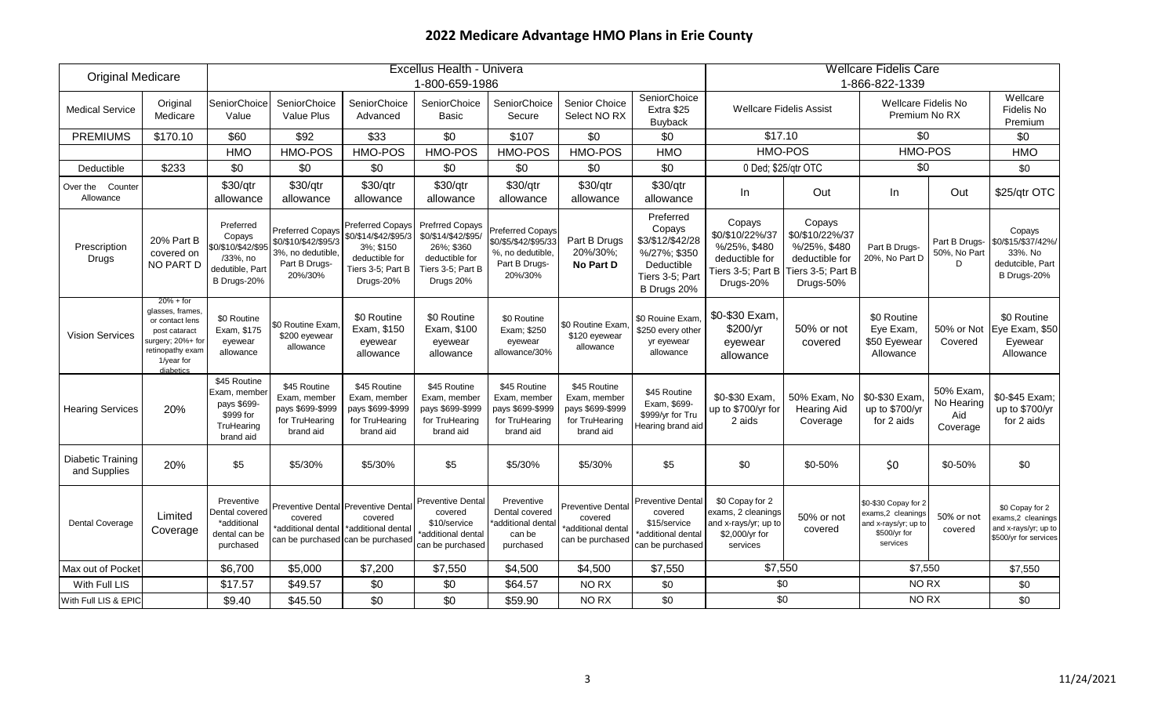|                                   | Excellus Health - Univera<br><b>Original Medicare</b>                                                                                   |                                                                                        |                                                                                                 |                                                                                                                  |                                                                                                                 |                                                                                          |                                                                                 |                                                                                                         | <b>Wellcare Fidelis Care</b>                                                                  |                                                                                               |                                                                                               |                                            |                                                                                      |
|-----------------------------------|-----------------------------------------------------------------------------------------------------------------------------------------|----------------------------------------------------------------------------------------|-------------------------------------------------------------------------------------------------|------------------------------------------------------------------------------------------------------------------|-----------------------------------------------------------------------------------------------------------------|------------------------------------------------------------------------------------------|---------------------------------------------------------------------------------|---------------------------------------------------------------------------------------------------------|-----------------------------------------------------------------------------------------------|-----------------------------------------------------------------------------------------------|-----------------------------------------------------------------------------------------------|--------------------------------------------|--------------------------------------------------------------------------------------|
|                                   |                                                                                                                                         |                                                                                        |                                                                                                 |                                                                                                                  | 1-800-659-1986                                                                                                  |                                                                                          |                                                                                 |                                                                                                         |                                                                                               |                                                                                               | 1-866-822-1339                                                                                |                                            |                                                                                      |
| <b>Medical Service</b>            | Original<br>Medicare                                                                                                                    | SeniorChoice<br>Value                                                                  | SeniorChoice<br><b>Value Plus</b>                                                               | SeniorChoice<br>Advanced                                                                                         | SeniorChoice<br>Basic                                                                                           | <b>SeniorChoice</b><br>Secure                                                            | Senior Choice<br>Select NO RX                                                   | SeniorChoice<br>Extra \$25<br>Buyback                                                                   | <b>Wellcare Fidelis Assist</b>                                                                |                                                                                               | Wellcare Fidelis No<br>Premium No RX                                                          |                                            | Wellcare<br>Fidelis No<br>Premium                                                    |
| <b>PREMIUMS</b>                   | \$170.10                                                                                                                                | \$60                                                                                   | \$92                                                                                            | \$33                                                                                                             | \$0                                                                                                             | \$107                                                                                    | \$0                                                                             | \$0                                                                                                     | \$17.10                                                                                       |                                                                                               | \$0                                                                                           |                                            | \$0                                                                                  |
|                                   |                                                                                                                                         | <b>HMO</b>                                                                             | <b>HMO-POS</b>                                                                                  | <b>HMO-POS</b>                                                                                                   | HMO-POS                                                                                                         | <b>HMO-POS</b>                                                                           | HMO-POS                                                                         | HMO                                                                                                     | <b>HMO-POS</b>                                                                                |                                                                                               | <b>HMO-POS</b>                                                                                |                                            | <b>HMO</b>                                                                           |
| Deductible                        | \$233                                                                                                                                   | \$0                                                                                    | \$0                                                                                             | \$0                                                                                                              | \$0                                                                                                             | \$0                                                                                      | \$0                                                                             | \$0                                                                                                     | 0 Ded; \$25/qtr OTC                                                                           |                                                                                               | \$0                                                                                           |                                            | \$0                                                                                  |
| Counter<br>Over the<br>Allowance  |                                                                                                                                         | \$30/qtr<br>allowance                                                                  | \$30/qtr<br>allowance                                                                           | \$30/qtr<br>allowance                                                                                            | \$30/qtr<br>allowance                                                                                           | \$30/qtr<br>allowance                                                                    | \$30/qtr<br>allowance                                                           | \$30/qtr<br>allowance                                                                                   | In                                                                                            | Out                                                                                           | In.                                                                                           | Out                                        | \$25/qtr OTC                                                                         |
| Prescription<br>Drugs             | 20% Part B<br>covered on<br>NO PART D                                                                                                   | Preferred<br>Copays<br>\$0/\$10/\$42/\$95<br>/33%, no<br>dedutible, Par<br>B Drugs-20% | <b>Preferred Copays</b><br>\$0/\$10/\$42/\$95/3<br>3%, no dedutible<br>Part B Drugs-<br>20%/30% | <b>Preferred Copays</b><br>\$0/\$14/\$42/\$95/3<br>3%; \$150<br>deductible for<br>Tiers 3-5; Part B<br>Drugs-20% | <b>Prefrred Copays</b><br>\$0/\$14/\$42/\$95/<br>26%; \$360<br>deductible for<br>Tiers 3-5; Part B<br>Drugs 20% | Preferred Copays<br>\$0/\$5/\$42/\$95/33<br>%, no dedutible,<br>Part B Drugs-<br>20%/30% | Part B Drugs<br>20%/30%;<br>No Part D                                           | Preferred<br>Copays<br>\$3/\$12/\$42/28<br>%/27%; \$350<br>Deductible<br>Tiers 3-5; Part<br>B Drugs 20% | Copays<br>\$0/\$10/22%/37<br>%/25%, \$480<br>deductible for<br>Tiers 3-5; Part B<br>Drugs-20% | Copays<br>\$0/\$10/22%/37<br>%/25%, \$480<br>deductible for<br>Tiers 3-5; Part B<br>Drugs-50% | Part B Drugs-<br>20%, No Part D                                                               | Part B Drugs-<br>50%, No Part<br>D         | Copays<br>\$0/\$15/\$37/42%/<br>33%. No<br>dedutcible, Part<br>B Drugs-20%           |
| <b>Vision Services</b>            | $20% + for$<br>glasses, frames,<br>or contact lens<br>post cataract<br>surgery; 20%+ for<br>retinopathy exam<br>1/year for<br>diabetics | \$0 Routine<br>Exam, \$175<br>eyewear<br>allowance                                     | \$0 Routine Exam<br>\$200 eyewear<br>allowance                                                  | \$0 Routine<br>Exam, \$150<br>eyewear<br>allowance                                                               | \$0 Routine<br>Exam, \$100<br>eyewear<br>allowance                                                              | \$0 Routine<br>Exam; \$250<br>eyewear<br>allowance/30%                                   | \$0 Routine Exam<br>\$120 eyewear<br>allowance                                  | \$0 Rouine Exam.<br>\$250 every other<br>yr eyewear<br>allowance                                        | \$0-\$30 Exam,<br>\$200/yr<br>eyewear<br>allowance                                            | 50% or not<br>covered                                                                         | \$0 Routine<br>Eye Exam,<br>\$50 Eyewear<br>Allowance                                         | 50% or Not<br>Covered                      | \$0 Routine<br>Eye Exam, \$50<br>Eyewear<br>Allowance                                |
| <b>Hearing Services</b>           | 20%                                                                                                                                     | \$45 Routine<br>Exam, membei<br>pays \$699-<br>\$999 for<br>TruHearing<br>brand aid    | \$45 Routine<br>Exam, member<br>pays \$699-\$999<br>for TruHearing<br>brand aid                 | \$45 Routine<br>Exam. member<br>pays \$699-\$999<br>for TruHearing<br>brand aid                                  | \$45 Routine<br>Exam, member<br>pays \$699-\$999<br>for TruHearing<br>brand aid                                 | \$45 Routine<br>Exam, member<br>pays \$699-\$999<br>for TruHearing<br>brand aid          | \$45 Routine<br>Exam. member<br>pays \$699-\$999<br>for TruHearing<br>brand aid | \$45 Routine<br>Exam, \$699-<br>\$999/yr for Tru<br>Hearing brand aid                                   | \$0-\$30 Exam.<br>up to \$700/yr for<br>2 aids                                                | 50% Exam, No<br><b>Hearing Aid</b><br>Coverage                                                | \$0-\$30 Exam<br>up to \$700/yr<br>for 2 aids                                                 | 50% Exam,<br>No Hearing<br>Aid<br>Coverage | \$0-\$45 Exam:<br>up to \$700/yr<br>for 2 aids                                       |
| Diabetic Training<br>and Supplies | 20%                                                                                                                                     | \$5                                                                                    | \$5/30%                                                                                         | \$5/30%                                                                                                          | \$5                                                                                                             | \$5/30%                                                                                  | \$5/30%                                                                         | \$5                                                                                                     | \$0                                                                                           | \$0-50%                                                                                       | \$0                                                                                           | \$0-50%                                    | \$0                                                                                  |
| <b>Dental Coverage</b>            | Limited<br>Coverage                                                                                                                     | Preventive<br>Dental covered<br>*additional<br>dental can be<br>purchased              | covered<br>'additional dental<br>can be purchased                                               | Preventive Dental Preventive Dental<br>covered<br>*additional dental<br>can be purchased                         | <b>Preventive Dental</b><br>covered<br>\$10/service<br>*additional dental<br>can be purchased                   | Preventive<br>Dental covered<br>*additional dental<br>can be<br>purchased                | Preventive Dental<br>covered<br>'additional dental<br>can be purchased          | <b>Preventive Dental</b><br>covered<br>\$15/service<br>additional dental<br>can be purchased            | \$0 Copay for 2<br>exams, 2 cleanings<br>and x-rays/yr; up to<br>\$2,000/yr for<br>services   | 50% or not<br>covered                                                                         | \$0-\$30 Copay for 2<br>exams,2 cleanings<br>and x-rays/yr; up to<br>\$500/yr for<br>services | 50% or not<br>covered                      | \$0 Copay for 2<br>xams,2 cleanings<br>and x-rays/yr; up to<br>\$500/yr for services |
| Max out of Pocket                 |                                                                                                                                         | \$6,700                                                                                | \$5,000                                                                                         | \$7,200                                                                                                          | \$7,550                                                                                                         | \$4,500                                                                                  | \$4,500                                                                         | \$7,550                                                                                                 | \$7,550                                                                                       |                                                                                               | \$7,550                                                                                       |                                            | \$7,550                                                                              |
| With Full LIS                     |                                                                                                                                         | \$17.57                                                                                | \$49.57                                                                                         | \$0                                                                                                              | \$0                                                                                                             | \$64.57                                                                                  | NO RX                                                                           | \$0                                                                                                     | \$0                                                                                           |                                                                                               | NO RX                                                                                         |                                            | \$0                                                                                  |
| With Full LIS & EPIC              |                                                                                                                                         | \$9.40                                                                                 | \$45.50                                                                                         | \$0                                                                                                              | \$0                                                                                                             | \$59.90                                                                                  | NO RX                                                                           | \$0                                                                                                     | \$0                                                                                           |                                                                                               | NO <sub>RX</sub>                                                                              |                                            | \$0                                                                                  |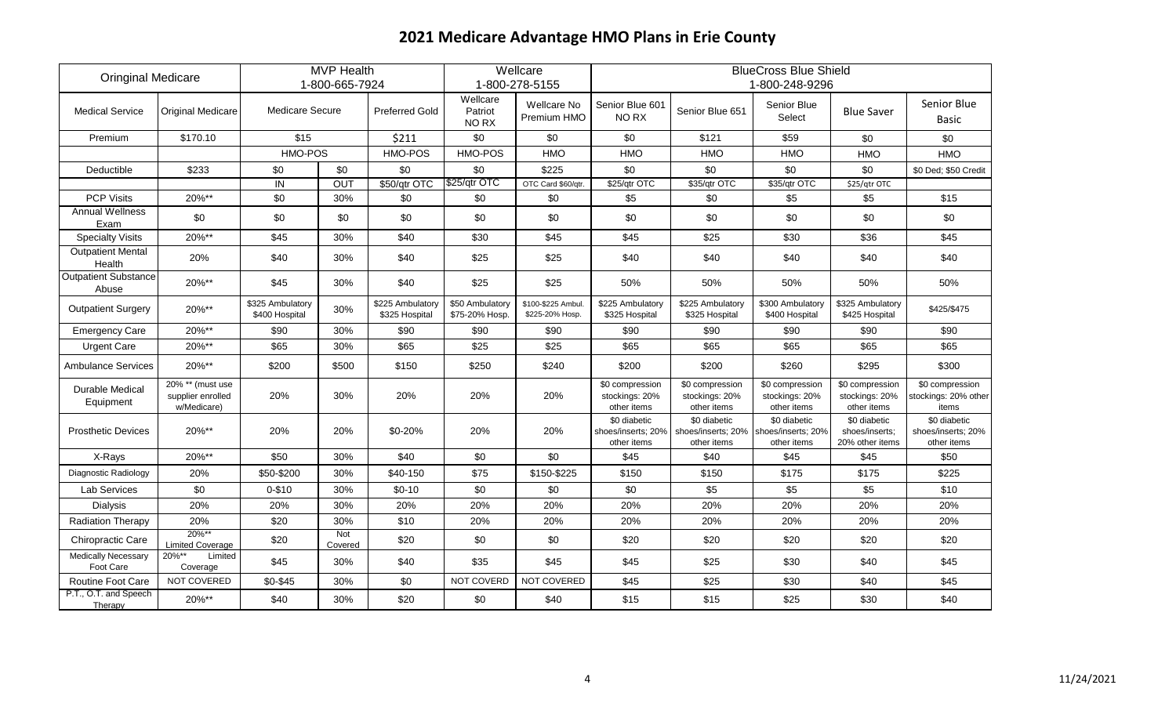| <b>Oringinal Medicare</b>               |                                                         |                                    | <b>MVP Health</b> |                                    |                                   | Wellcare                              |                                                  |                                                                      | <b>BlueCross Blue Shield</b>                      |                                                   |                                                   |
|-----------------------------------------|---------------------------------------------------------|------------------------------------|-------------------|------------------------------------|-----------------------------------|---------------------------------------|--------------------------------------------------|----------------------------------------------------------------------|---------------------------------------------------|---------------------------------------------------|---------------------------------------------------|
|                                         |                                                         |                                    | 1-800-665-7924    |                                    |                                   | 1-800-278-5155                        |                                                  |                                                                      | 1-800-248-9296                                    |                                                   |                                                   |
| <b>Medical Service</b>                  | <b>Original Medicare</b>                                | <b>Medicare Secure</b>             |                   | <b>Preferred Gold</b>              | Wellcare<br>Patriot<br>NO RX      | Wellcare No<br>Premium HMO            | Senior Blue 601<br>NO RX                         | Senior Blue 651                                                      | Senior Blue<br>Select                             | <b>Blue Saver</b>                                 | Senior Blue<br><b>Basic</b>                       |
| Premium                                 | \$170.10                                                | \$15                               |                   | \$211                              | \$0                               | \$0                                   | \$0                                              | \$121                                                                | \$59                                              | \$0                                               | \$0                                               |
|                                         |                                                         | HMO-POS                            |                   | HMO-POS                            | HMO-POS                           | <b>HMO</b>                            | <b>HMO</b>                                       | <b>HMO</b>                                                           | <b>HMO</b>                                        | HMO                                               | <b>HMO</b>                                        |
| Deductible                              | \$233                                                   | \$0                                | \$0               | \$0                                | \$0                               | \$225                                 | \$0                                              | \$0                                                                  | \$0                                               | \$0                                               | \$0 Ded; \$50 Credit                              |
|                                         |                                                         | IN                                 | OUT               | \$50/qtr OTC                       | \$25/qtr OTC                      | OTC Card \$60/qtr.                    | \$25/qtr OTC                                     | \$35/qtr OTC                                                         | \$35/qtr OTC                                      | \$25/qtr OTC                                      |                                                   |
| <b>PCP Visits</b>                       | 20%**                                                   | \$0                                | 30%               | \$0                                | \$0                               | \$0                                   | \$5                                              | \$0                                                                  | \$5                                               | \$5                                               | \$15                                              |
| <b>Annual Wellness</b><br>Exam          | \$0                                                     | \$0                                | \$0               | \$0                                | \$0                               | \$0                                   | \$0                                              | \$0                                                                  | \$0                                               | \$0                                               | \$0                                               |
| <b>Specialty Visits</b>                 | 20%**                                                   | \$45                               | 30%               | \$40                               | \$30                              | \$45                                  | \$45                                             | \$25                                                                 | \$30                                              | \$36                                              | \$45                                              |
| <b>Outpatient Mental</b><br>Health      | 20%                                                     | \$40                               | 30%               | \$40                               | \$25                              | \$25                                  | \$40                                             | \$40                                                                 | \$40                                              | \$40                                              | \$40                                              |
| <b>Outpatient Substance</b><br>Abuse    | 20%**                                                   | \$45                               | 30%               | \$40                               | \$25                              | \$25                                  | 50%                                              | 50%                                                                  | 50%                                               | 50%                                               | 50%                                               |
| <b>Outpatient Surgery</b>               | 20%**                                                   | \$325 Ambulatory<br>\$400 Hospital | 30%               | \$225 Ambulatory<br>\$325 Hospital | \$50 Ambulatory<br>\$75-20% Hosp. | \$100-\$225 Ambul.<br>\$225-20% Hosp. | \$225 Ambulatory<br>\$325 Hospital               | \$225 Ambulatory<br>\$325 Hospital                                   | \$300 Ambulatory<br>\$400 Hospital                | \$325 Ambulatory<br>\$425 Hospital                | \$425/\$475                                       |
| <b>Emergency Care</b>                   | 20%**                                                   | \$90                               | 30%               | \$90                               | \$90                              | \$90                                  | \$90                                             | \$90                                                                 | \$90                                              | \$90                                              | \$90                                              |
| <b>Urgent Care</b>                      | 20%**                                                   | \$65                               | 30%               | \$65                               | \$25                              | \$25                                  | \$65                                             | \$65                                                                 | \$65                                              | \$65                                              | \$65                                              |
| <b>Ambulance Services</b>               | 20%**                                                   | \$200                              | \$500             | \$150                              | \$250                             | \$240                                 | \$200                                            | \$200                                                                | \$260                                             | \$295                                             | \$300                                             |
| Durable Medical<br>Equipment            | $20\%$ ** (must use<br>supplier enrolled<br>w/Medicare) | 20%                                | 30%               | 20%                                | 20%                               | 20%                                   | \$0 compression<br>stockings: 20%<br>other items | \$0 compression<br>stockings: 20%<br>other items                     | \$0 compression<br>stockings: 20%<br>other items  | \$0 compression<br>stockings: 20%<br>other items  | \$0 compression<br>stockings: 20% other<br>items  |
| <b>Prosthetic Devices</b>               | 20%**                                                   | 20%                                | 20%               | \$0-20%                            | 20%                               | 20%                                   | \$0 diabetic<br>other items                      | \$0 diabetic<br>shoes/inserts; 20% shoes/inserts; 20%<br>other items | \$0 diabetic<br>shoes/inserts; 20%<br>other items | \$0 diabetic<br>shoes/inserts;<br>20% other items | \$0 diabetic<br>shoes/inserts; 20%<br>other items |
| X-Rays                                  | 20%**                                                   | \$50                               | 30%               | \$40                               | \$0                               | \$0                                   | \$45                                             | \$40                                                                 | \$45                                              | \$45                                              | \$50                                              |
| Diagnostic Radiology                    | 20%                                                     | \$50-\$200                         | 30%               | \$40-150                           | \$75                              | \$150-\$225                           | \$150                                            | \$150                                                                | \$175                                             | \$175                                             | \$225                                             |
| <b>Lab Services</b>                     | \$0                                                     | $0 - $10$                          | 30%               | $$0-10$                            | \$0                               | \$0                                   | \$0                                              | \$5                                                                  | \$5                                               | \$5                                               | \$10                                              |
| Dialysis                                | 20%                                                     | 20%                                | 30%               | 20%                                | 20%                               | 20%                                   | 20%                                              | 20%                                                                  | 20%                                               | 20%                                               | 20%                                               |
| Radiation Therapy                       | 20%                                                     | \$20                               | 30%               | \$10                               | 20%                               | 20%                                   | 20%                                              | 20%                                                                  | 20%                                               | 20%                                               | 20%                                               |
| Chiropractic Care                       | 20%**<br><b>Limited Coverage</b>                        | \$20                               | Not<br>Covered    | \$20                               | \$0                               | \$0                                   | \$20                                             | \$20                                                                 | \$20                                              | \$20                                              | \$20                                              |
| <b>Medically Necessary</b><br>Foot Care | 20%**<br>Limited<br>Coverage                            | \$45                               | 30%               | \$40                               | \$35                              | \$45                                  | \$45                                             | \$25                                                                 | \$30                                              | \$40                                              | \$45                                              |
| Routine Foot Care                       | NOT COVERED                                             | \$0-\$45                           | 30%               | \$0                                | NOT COVERD                        | NOT COVERED                           | \$45                                             | \$25                                                                 | \$30                                              | \$40                                              | \$45                                              |
| P.T., O.T. and Speech<br>Therapy        | 20%**                                                   | \$40                               | 30%               | \$20                               | \$0                               | \$40                                  | \$15                                             | \$15                                                                 | \$25                                              | \$30                                              | \$40                                              |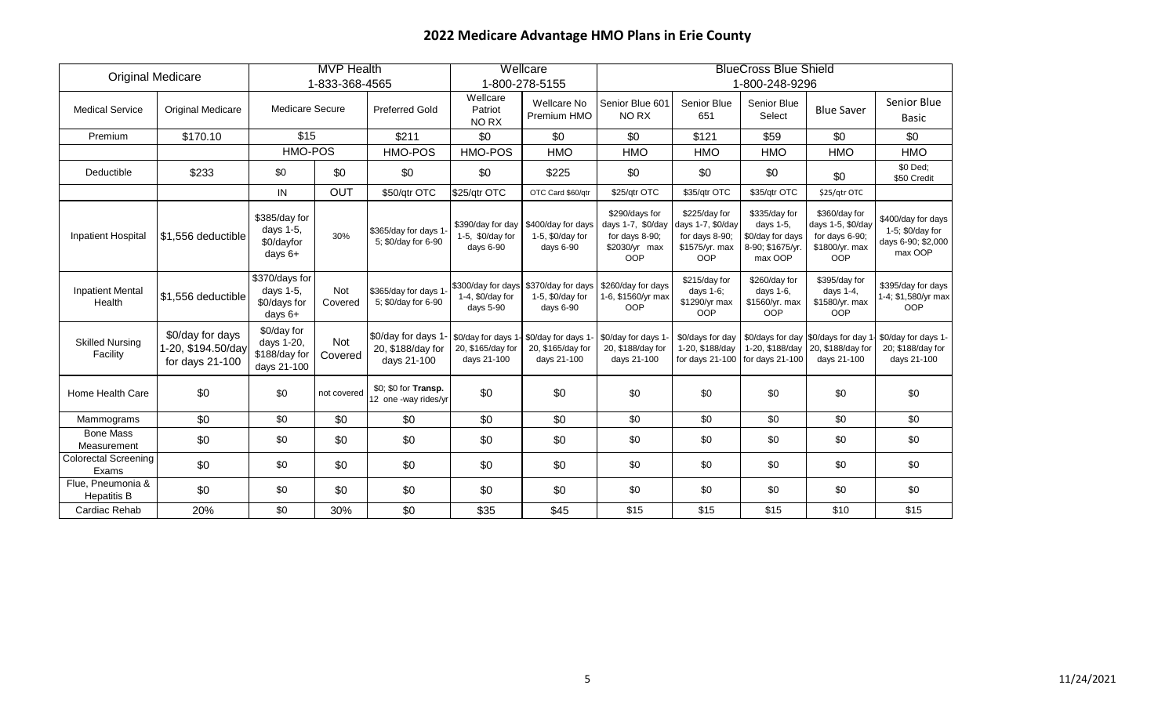|                                         |                                                           |                                                           | <b>MVP Health</b> |                                                        |                                                    | Wellcare                                                                    |                                                                                      |                                                                                      | <b>BlueCross Blue Shield</b>                                                  |                                                                                      |                                                                         |
|-----------------------------------------|-----------------------------------------------------------|-----------------------------------------------------------|-------------------|--------------------------------------------------------|----------------------------------------------------|-----------------------------------------------------------------------------|--------------------------------------------------------------------------------------|--------------------------------------------------------------------------------------|-------------------------------------------------------------------------------|--------------------------------------------------------------------------------------|-------------------------------------------------------------------------|
| <b>Original Medicare</b>                |                                                           |                                                           | 1-833-368-4565    |                                                        |                                                    | 1-800-278-5155                                                              |                                                                                      |                                                                                      | 1-800-248-9296                                                                |                                                                                      |                                                                         |
| <b>Medical Service</b>                  | Original Medicare                                         | <b>Medicare Secure</b>                                    |                   | <b>Preferred Gold</b>                                  | Wellcare<br>Patriot<br>NO RX                       | Wellcare No<br>Premium HMO                                                  | Senior Blue 601<br>NO RX                                                             | Senior Blue<br>651                                                                   | Senior Blue<br>Select                                                         | <b>Blue Saver</b>                                                                    | Senior Blue<br><b>Basic</b>                                             |
| Premium                                 | \$170.10                                                  | \$15                                                      |                   | \$211                                                  | \$0                                                | \$0                                                                         | \$0                                                                                  | \$121                                                                                | \$59                                                                          | \$0                                                                                  | \$0                                                                     |
|                                         |                                                           | HMO-POS                                                   |                   | <b>HMO-POS</b>                                         | <b>HMO-POS</b>                                     | <b>HMO</b>                                                                  | <b>HMO</b>                                                                           | <b>HMO</b>                                                                           | <b>HMO</b>                                                                    | <b>HMO</b>                                                                           | <b>HMO</b>                                                              |
| Deductible                              | \$233                                                     | \$0                                                       | \$0               | \$0                                                    | \$0                                                | \$225                                                                       | \$0                                                                                  | \$0                                                                                  | \$0                                                                           | \$0                                                                                  | \$0 Ded;<br>\$50 Credit                                                 |
|                                         |                                                           | IN                                                        | OUT               | \$50/qtr OTC                                           | \$25/qtr OTC                                       | OTC Card \$60/qtr                                                           | \$25/qtr OTC                                                                         | \$35/qtr OTC                                                                         | \$35/qtr OTC                                                                  | \$25/qtr OTC                                                                         |                                                                         |
| <b>Inpatient Hospital</b>               | \$1,556 deductible                                        | \$385/day for<br>days 1-5,<br>\$0/dayfor<br>days 6+       | 30%               | \$365/day for days 1<br>5; \$0/day for 6-90            | \$390/day for day<br>1-5, \$0/day for<br>days 6-90 | \$400/day for days<br>1-5, \$0/day for<br>days 6-90                         | \$290/days for<br>days 1-7, \$0/day<br>for days 8-90;<br>\$2030/yr max<br><b>OOP</b> | \$225/day for<br>days 1-7, \$0/day<br>for days 8-90;<br>\$1575/yr. max<br><b>OOP</b> | \$335/day for<br>days 1-5,<br>\$0/day for days<br>8-90; \$1675/yr.<br>max OOP | \$360/day for<br>days 1-5, \$0/day<br>for days 6-90;<br>\$1800/yr. max<br><b>OOP</b> | \$400/day for days<br>1-5; \$0/day for<br>days 6-90; \$2,000<br>max OOP |
| <b>Inpatient Mental</b><br>Health       | \$1,556 deductible                                        | \$370/days for<br>days 1-5,<br>\$0/days for<br>days 6+    | Not<br>Covered    | \$365/day for days 1<br>5; \$0/day for 6-90            | 1-4, \$0/day for<br>days 5-90                      | \$300/day for days \$370/day for days<br>1-5, \$0/day for<br>days 6-90      | \$260/day for days<br>1-6, \$1560/yr max<br><b>OOP</b>                               | \$215/day for<br>days 1-6;<br>\$1290/yr max<br><b>OOP</b>                            | \$260/day for<br>days 1-6,<br>\$1560/yr. max<br><b>OOP</b>                    | \$395/day for<br>days $1-4$ ,<br>\$1580/yr. max<br><b>OOP</b>                        | \$395/day for days<br>1-4; \$1,580/yr max<br><b>OOP</b>                 |
| <b>Skilled Nursing</b><br>Facility      | \$0/day for days<br>1-20, \$194.50/day<br>for days 21-100 | \$0/day for<br>days 1-20,<br>\$188/day for<br>days 21-100 | Not<br>Covered    | \$0/day for days 1<br>20, \$188/day for<br>days 21-100 | 20, \$165/day for<br>days 21-100                   | \$0/day for days 1- \$0/day for days 1-<br>20, \$165/day for<br>days 21-100 | \$0/day for days 1<br>20, \$188/day for<br>days 21-100                               | \$0/days for day<br>1-20, \$188/day                                                  | 1-20, \$188/day<br>for days 21-100 for days 21-100                            | \$0/days for day   \$0/days for day 1<br>20, \$188/day for<br>days 21-100            | \$0/day for days 1-<br>20; \$188/day for<br>days 21-100                 |
| Home Health Care                        | \$0                                                       | \$0                                                       | not covered       | \$0; \$0 for Transp.<br>12 one -way rides/yr           | \$0                                                | \$0                                                                         | \$0                                                                                  | \$0                                                                                  | \$0                                                                           | \$0                                                                                  | \$0                                                                     |
| Mammograms                              | \$0                                                       | \$0                                                       | \$0               | \$0                                                    | \$0                                                | \$0                                                                         | \$0                                                                                  | \$0                                                                                  | \$0                                                                           | \$0                                                                                  | \$0                                                                     |
| <b>Bone Mass</b><br>Measurement         | \$0                                                       | \$0                                                       | \$0               | \$0                                                    | \$0                                                | \$0                                                                         | \$0                                                                                  | \$0                                                                                  | \$0                                                                           | \$0                                                                                  | \$0                                                                     |
| <b>Colorectal Screening</b><br>Exams    | \$0                                                       | \$0                                                       | \$0               | \$0                                                    | \$0                                                | \$0                                                                         | \$0                                                                                  | \$0                                                                                  | \$0                                                                           | \$0                                                                                  | \$0                                                                     |
| Flue, Pneumonia &<br><b>Hepatitis B</b> | \$0                                                       | \$0                                                       | \$0               | \$0                                                    | \$0                                                | \$0                                                                         | \$0                                                                                  | \$0                                                                                  | \$0                                                                           | \$0                                                                                  | \$0                                                                     |
| Cardiac Rehab                           | 20%                                                       | \$0                                                       | 30%               | \$0                                                    | \$35                                               | \$45                                                                        | \$15                                                                                 | \$15                                                                                 | \$15                                                                          | \$10                                                                                 | \$15                                                                    |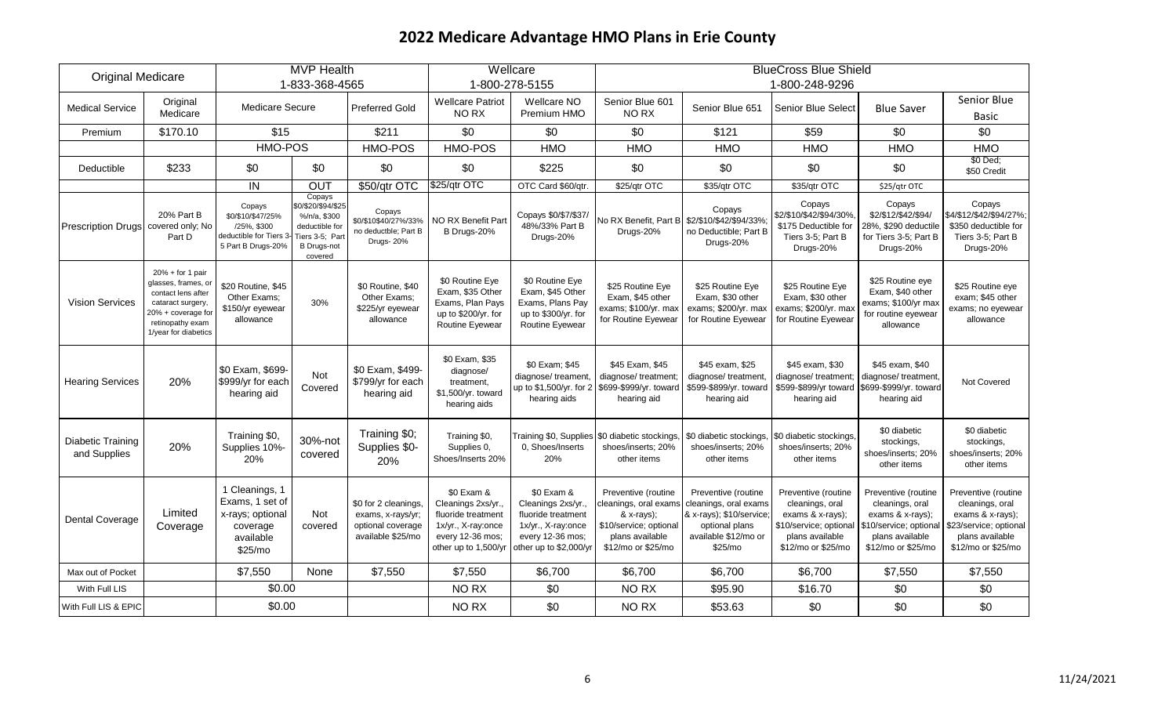|                                   |                                                                                                                                                        |                                                                                            | <b>MVP Health</b>                                                                                                  |                                                                                    |                                                                                                                          | Wellcare                                                                                                                   |                                                                                                                               |                                                                                                                               | <b>BlueCross Blue Shield</b>                                                                                                  |                                                                                                                             |                                                                                                                                 |
|-----------------------------------|--------------------------------------------------------------------------------------------------------------------------------------------------------|--------------------------------------------------------------------------------------------|--------------------------------------------------------------------------------------------------------------------|------------------------------------------------------------------------------------|--------------------------------------------------------------------------------------------------------------------------|----------------------------------------------------------------------------------------------------------------------------|-------------------------------------------------------------------------------------------------------------------------------|-------------------------------------------------------------------------------------------------------------------------------|-------------------------------------------------------------------------------------------------------------------------------|-----------------------------------------------------------------------------------------------------------------------------|---------------------------------------------------------------------------------------------------------------------------------|
| <b>Original Medicare</b>          |                                                                                                                                                        |                                                                                            | 1-833-368-4565                                                                                                     |                                                                                    |                                                                                                                          | 1-800-278-5155                                                                                                             |                                                                                                                               |                                                                                                                               | 1-800-248-9296                                                                                                                |                                                                                                                             |                                                                                                                                 |
| <b>Medical Service</b>            | Original<br>Medicare                                                                                                                                   | <b>Medicare Secure</b>                                                                     |                                                                                                                    | <b>Preferred Gold</b>                                                              | <b>Wellcare Patriot</b><br>NO RX                                                                                         | Wellcare NO<br>Premium HMO                                                                                                 | Senior Blue 601<br>NO RX                                                                                                      | Senior Blue 651                                                                                                               | <b>Senior Blue Select</b>                                                                                                     | <b>Blue Saver</b>                                                                                                           | Senior Blue<br><b>Basic</b>                                                                                                     |
| Premium                           | \$170.10                                                                                                                                               | \$15                                                                                       |                                                                                                                    | \$211                                                                              | \$0                                                                                                                      | \$0                                                                                                                        | \$0                                                                                                                           | \$121                                                                                                                         | \$59                                                                                                                          | \$0                                                                                                                         | \$0                                                                                                                             |
|                                   |                                                                                                                                                        | HMO-POS                                                                                    |                                                                                                                    | HMO-POS                                                                            | <b>HMO-POS</b>                                                                                                           | <b>HMO</b>                                                                                                                 | <b>HMO</b>                                                                                                                    | <b>HMO</b>                                                                                                                    | <b>HMO</b>                                                                                                                    | HMO                                                                                                                         | <b>HMO</b>                                                                                                                      |
| Deductible                        | \$233                                                                                                                                                  | \$0                                                                                        | \$0                                                                                                                | \$0                                                                                | \$0                                                                                                                      | \$225                                                                                                                      | \$0                                                                                                                           | \$0                                                                                                                           | \$0                                                                                                                           | \$0                                                                                                                         | \$0 Ded;<br>\$50 Credit                                                                                                         |
|                                   |                                                                                                                                                        | $\overline{I}$                                                                             | <b>OUT</b>                                                                                                         | \$50/qtr OTC                                                                       | \$25/qtr OTC                                                                                                             | OTC Card \$60/qtr.                                                                                                         | \$25/qtr OTC                                                                                                                  | \$35/qtr OTC                                                                                                                  | \$35/qtr OTC                                                                                                                  | \$25/qtr OTC                                                                                                                |                                                                                                                                 |
| <b>Prescription Drugs</b>         | 20% Part B<br>covered only; No<br>Part D                                                                                                               | Copays<br>\$0/\$10/\$47/25%<br>/25%, \$300<br>deductible for Tiers 3<br>5 Part B Drugs-20% | Copays<br>\$0/\$20/\$94/\$25<br>%/n/a, \$300<br>deductible for<br>Tiers 3-5; Part<br><b>B</b> Drugs-not<br>covered | Copays<br>\$0/\$10\$40/27%/33%<br>no deductble; Part B<br>Drugs-20%                | NO RX Benefit Part<br>B Drugs-20%                                                                                        | Copays \$0/\$7/\$37<br>48%/33% Part B<br>Drugs-20%                                                                         | No RX Benefit, Part B<br>Drugs-20%                                                                                            | Copays<br>\$2/\$10/\$42/\$94/33%<br>no Deductible; Part B<br>Drugs-20%                                                        | Copays<br>\$2/\$10/\$42/\$94/30%<br>\$175 Deductible for<br>Tiers 3-5; Part B<br>Drugs-20%                                    | Copays<br>\$2/\$12/\$42/\$94/<br>28%, \$290 deductile<br>for Tiers 3-5; Part B<br>Drugs-20%                                 | Copays<br>\$4/\$12/\$42/\$94/27%;<br>\$350 deductible for<br>Tiers 3-5; Part B<br>Drugs-20%                                     |
| <b>Vision Services</b>            | $20% + for 1 pair$<br>glasses, frames, or<br>contact lens after<br>cataract surgery,<br>20% + coverage for<br>retinopathy exam<br>1/year for diabetics | \$20 Routine, \$45<br>Other Exams:<br>\$150/yr eyewear<br>allowance                        | 30%                                                                                                                | \$0 Routine, \$40<br>Other Exams:<br>\$225/yr eyewear<br>allowance                 | \$0 Routine Eye<br>Exam, \$35 Other<br>Exams, Plan Pays<br>up to \$200/yr. for<br>Routine Eyewear                        | \$0 Routine Eye<br>Exam, \$45 Other<br>Exams, Plans Pay<br>up to \$300/yr. for<br>Routine Eyewear                          | \$25 Routine Eye<br>Exam, \$45 other<br>exams; \$100/yr. max<br>for Routine Eyewear                                           | \$25 Routine Eye<br>Exam, \$30 other<br>exams; \$200/yr. max<br>for Routine Eyewear                                           | \$25 Routine Eye<br>Exam, \$30 other<br>exams; \$200/yr. max<br>for Routine Eyewear                                           | \$25 Routine eye<br>Exam, \$40 other<br>exams; \$100/yr max<br>for routine eyewear<br>allowance                             | \$25 Routine eye<br>exam; \$45 other<br>exams; no eyewear<br>allowance                                                          |
| <b>Hearing Services</b>           | 20%                                                                                                                                                    | \$0 Exam, \$699-<br>\$999/yr for each<br>hearing aid                                       | Not<br>Covered                                                                                                     | \$0 Exam, \$499-<br>\$799/yr for each<br>hearing aid                               | \$0 Exam, \$35<br>diagnose/<br>treatment,<br>\$1,500/yr. toward<br>hearing aids                                          | \$0 Exam; \$45<br>diagnose/treament<br>up to \$1,500/yr. for 2<br>hearing aids                                             | \$45 Exam, \$45<br>diagnose/ treatment;<br>\$699-\$999/yr. toward<br>hearing aid                                              | \$45 exam, \$25<br>diagnose/ treatment<br>\$599-\$899/yr. toward<br>hearing aid                                               | \$45 exam, \$30<br>diagnose/ treatment<br>\$599-\$899/yr toward<br>hearing aid                                                | \$45 exam, \$40<br>diagnose/ treatment<br>\$699-\$999/yr. toward<br>hearing aid                                             | Not Covered                                                                                                                     |
| Diabetic Training<br>and Supplies | 20%                                                                                                                                                    | Training \$0,<br>Supplies 10%-<br>20%                                                      | 30%-not<br>covered                                                                                                 | Training \$0;<br>Supplies \$0-<br>20%                                              | Training \$0,<br>Supplies 0,<br>Shoes/Inserts 20%                                                                        | 0. Shoes/Inserts<br>20%                                                                                                    | Training \$0, Supplies \$0 diabetic stockings,<br>shoes/inserts; 20%<br>other items                                           | \$0 diabetic stockings<br>shoes/inserts; 20%<br>other items                                                                   | 0 diabetic stockings.<br>shoes/inserts; 20%<br>other items                                                                    | \$0 diabetic<br>stockings,<br>shoes/inserts; 20%<br>other items                                                             | \$0 diabetic<br>stockings,<br>shoes/inserts; 20%<br>other items                                                                 |
| <b>Dental Coverage</b>            | Limited<br>Coverage                                                                                                                                    | 1 Cleanings, 1<br>Exams, 1 set of<br>x-rays; optional<br>coverage<br>available<br>\$25/mo  | Not<br>covered                                                                                                     | \$0 for 2 cleanings<br>exams, x-rays/yr;<br>optional coverage<br>available \$25/mo | \$0 Exam &<br>Cleanings 2xs/yr.,<br>fluoride treatment<br>1x/yr., X-ray:once<br>every 12-36 mos;<br>other up to 1,500/yr | \$0 Exam &<br>Cleanings 2xs/yr.,<br>fluoride treatment<br>1x/yr., X-ray:once<br>every 12-36 mos;<br>other up to \$2,000/yr | Preventive (routine<br>cleanings, oral exams<br>& x-rays);<br>\$10/service; optional<br>plans available<br>\$12/mo or \$25/mo | Preventive (routine<br>cleanings, oral exams<br>& x-rays); \$10/service;<br>optional plans<br>available \$12/mo or<br>\$25/mo | Preventive (routine<br>cleanings, oral<br>exams & x-rays);<br>\$10/service; optional<br>plans available<br>\$12/mo or \$25/mo | Preventive (routine<br>cleanings, oral<br>exams & x-rays);<br>10/service; optional<br>plans available<br>\$12/mo or \$25/mo | Preventive (routine<br>cleanings, oral<br>exams $& x-rays);$<br>\$23/service; optional<br>plans available<br>\$12/mo or \$25/mo |
| Max out of Pocket                 |                                                                                                                                                        | \$7,550                                                                                    | None                                                                                                               | \$7,550                                                                            | \$7,550                                                                                                                  | \$6,700                                                                                                                    | \$6,700                                                                                                                       | \$6,700                                                                                                                       | \$6,700                                                                                                                       | \$7,550                                                                                                                     | \$7,550                                                                                                                         |
| With Full LIS                     |                                                                                                                                                        | \$0.00                                                                                     |                                                                                                                    |                                                                                    | NO RX                                                                                                                    | \$0                                                                                                                        | NO RX                                                                                                                         | \$95.90                                                                                                                       | \$16.70                                                                                                                       | \$0                                                                                                                         | \$0                                                                                                                             |
| With Full LIS & EPIC              |                                                                                                                                                        | \$0.00                                                                                     |                                                                                                                    |                                                                                    | NO RX                                                                                                                    | \$0                                                                                                                        | NO RX                                                                                                                         | \$53.63                                                                                                                       | \$0                                                                                                                           | \$0                                                                                                                         | \$0                                                                                                                             |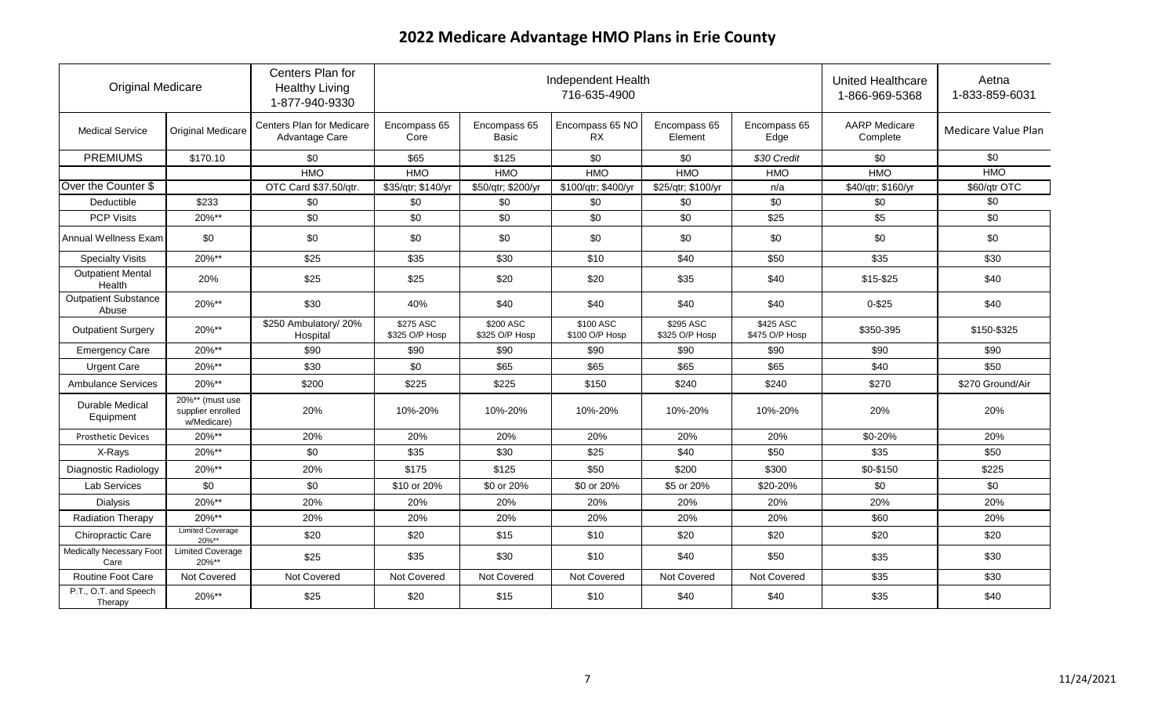| <b>Original Medicare</b>                |                                                     | Centers Plan for<br><b>Healthy Living</b><br>1-877-940-9330 |                             | Independent Health          |                              | United Healthcare<br>1-866-969-5368 | Aetna<br>1-833-859-6031     |                                  |                     |
|-----------------------------------------|-----------------------------------------------------|-------------------------------------------------------------|-----------------------------|-----------------------------|------------------------------|-------------------------------------|-----------------------------|----------------------------------|---------------------|
| <b>Medical Service</b>                  | <b>Original Medicare</b>                            | Centers Plan for Medicare<br>Advantage Care                 | Encompass 65<br>Core        | Encompass 65<br>Basic       | Encompass 65 NO<br><b>RX</b> | Encompass 65<br>Element             | Encompass 65<br>Edge        | <b>AARP</b> Medicare<br>Complete | Medicare Value Plan |
| <b>PREMIUMS</b>                         | \$170.10                                            | \$0                                                         | \$65                        | \$125                       | \$0                          | \$0                                 | \$30 Credit                 | \$0                              | \$0                 |
|                                         |                                                     | <b>HMO</b>                                                  | <b>HMO</b>                  | <b>HMO</b>                  | <b>HMO</b>                   | <b>HMO</b>                          | <b>HMO</b>                  | <b>HMO</b>                       | <b>HMO</b>          |
| Over the Counter \$                     |                                                     | OTC Card \$37.50/qtr.                                       | \$35/qtr; \$140/yr          | \$50/qtr; \$200/yr          | \$100/qtr; \$400/yr          | \$25/qtr; \$100/yr                  | n/a                         | \$40/qtr; \$160/yr               | \$60/qtr OTC        |
| Deductible                              | \$233                                               | \$0                                                         | \$0                         | \$0                         | \$0                          | \$0                                 | \$0                         | \$0                              | \$0                 |
| <b>PCP Visits</b>                       | 20%**                                               | \$0                                                         | \$0                         | \$0                         | \$0                          | \$0                                 | \$25                        | \$5                              | \$0                 |
| Annual Wellness Exam                    | \$0                                                 | \$0                                                         | \$0                         | \$0                         | \$0                          | \$0                                 | \$0                         | \$0                              | \$0                 |
| <b>Specialty Visits</b>                 | 20%**                                               | \$25                                                        | \$35                        | \$30                        | \$10                         | \$40                                | \$50                        | \$35                             | \$30                |
| <b>Outpatient Mental</b><br>Health      | 20%                                                 | \$25                                                        | \$25                        | \$20                        | \$20                         | \$35                                | \$40                        | \$15-\$25                        | \$40                |
| <b>Outpatient Substance</b><br>Abuse    | 20%**                                               | \$30                                                        | 40%                         | \$40                        | \$40                         | \$40                                | \$40                        | $0 - $25$                        | \$40                |
| <b>Outpatient Surgery</b>               | 20%**                                               | \$250 Ambulatory/ 20%<br>Hospital                           | \$275 ASC<br>\$325 O/P Hosp | \$200 ASC<br>\$325 O/P Hosp | \$100 ASC<br>\$100 O/P Hosp  | \$295 ASC<br>\$325 O/P Hosp         | \$425 ASC<br>\$475 O/P Hosp | \$350-395                        | \$150-\$325         |
| <b>Emergency Care</b>                   | 20%**                                               | \$90                                                        | \$90                        | \$90                        | \$90                         | \$90                                | \$90                        | \$90                             | \$90                |
| <b>Urgent Care</b>                      | 20%**                                               | \$30                                                        | \$0                         | \$65                        | \$65                         | \$65                                | \$65                        | \$40                             | \$50                |
| Ambulance Services                      | 20%**                                               | \$200                                                       | \$225                       | \$225                       | \$150                        | \$240                               | \$240                       | \$270                            | \$270 Ground/Air    |
| Durable Medical<br>Equipment            | 20%** (must use<br>supplier enrolled<br>w/Medicare) | 20%                                                         | 10%-20%                     | 10%-20%                     | 10%-20%                      | 10%-20%                             | 10%-20%                     | 20%                              | 20%                 |
| <b>Prosthetic Devices</b>               | 20%**                                               | 20%                                                         | 20%                         | 20%                         | 20%                          | 20%                                 | 20%                         | \$0-20%                          | 20%                 |
| X-Rays                                  | 20%**                                               | \$0                                                         | \$35                        | \$30                        | \$25                         | \$40                                | \$50                        | \$35                             | \$50                |
| Diagnostic Radiology                    | 20%**                                               | 20%                                                         | \$175                       | \$125                       | \$50                         | \$200                               | \$300                       | \$0-\$150                        | \$225               |
| Lab Services                            | \$0                                                 | \$0                                                         | \$10 or 20%                 | \$0 or 20%                  | \$0 or 20%                   | \$5 or 20%                          | \$20-20%                    | \$0                              | \$0                 |
| <b>Dialysis</b>                         | 20%**                                               | 20%                                                         | 20%                         | 20%                         | 20%                          | 20%                                 | 20%                         | 20%                              | 20%                 |
| Radiation Therapy                       | 20%**                                               | 20%                                                         | 20%                         | 20%                         | 20%                          | 20%                                 | 20%                         | \$60                             | 20%                 |
| Chiropractic Care                       | <b>Limited Coverage</b><br>$20\%**$                 | \$20                                                        | \$20                        | \$15                        | \$10                         | \$20                                | \$20                        | \$20                             | \$20                |
| <b>Medically Necessary Foot</b><br>Care | <b>Limited Coverage</b><br>20%**                    | \$25                                                        | \$35                        | \$30                        | \$10                         | \$40                                | \$50                        | \$35                             | \$30                |
| Routine Foot Care                       | Not Covered                                         | Not Covered                                                 | Not Covered                 | Not Covered                 | Not Covered                  | Not Covered                         | Not Covered                 | \$35                             | \$30                |
| P.T., O.T. and Speech<br>Therapy        | 20%**                                               | \$25                                                        | \$20                        | \$15                        | \$10                         | \$40                                | \$40                        | \$35                             | \$40                |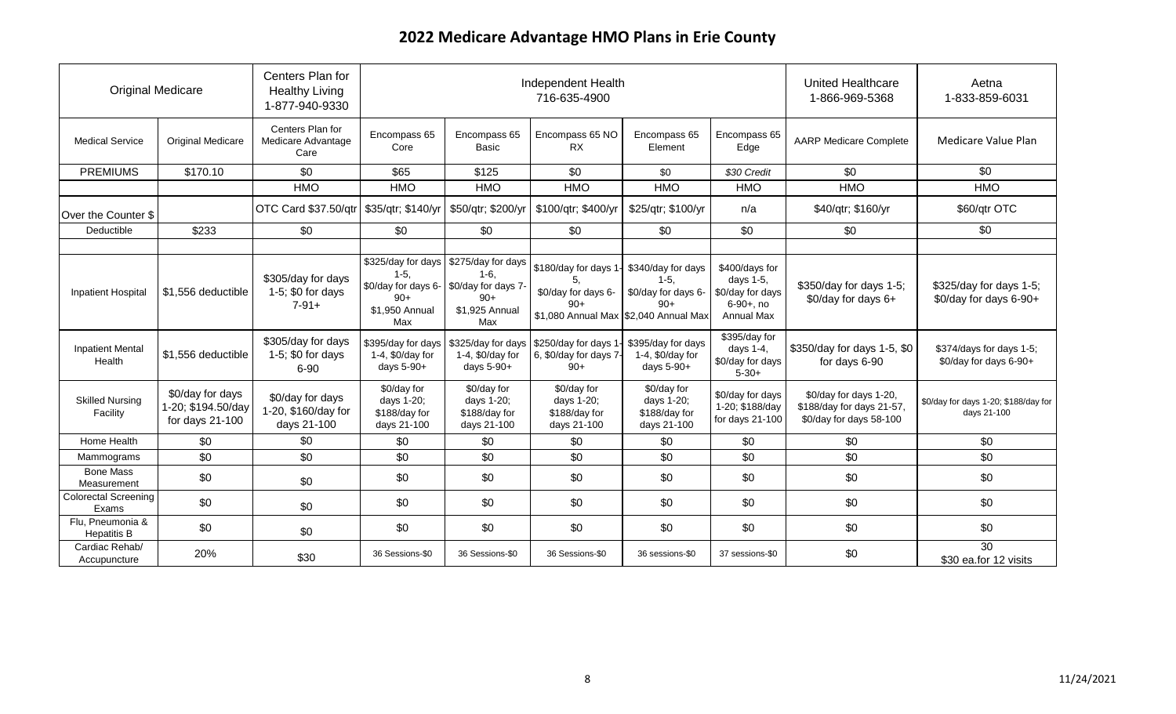| <b>Original Medicare</b>                             |                                                             | Centers Plan for<br><b>Healthy Living</b><br>1-877-940-9330                                    |                                                                                                            |                                                                                                                                                     | Independent Health<br>716-635-4900                                                                                                                   |                                                                                                        | United Healthcare<br>1-866-969-5368                                                                               | Aetna<br>1-833-859-6031                                                                         |                                                                               |
|------------------------------------------------------|-------------------------------------------------------------|------------------------------------------------------------------------------------------------|------------------------------------------------------------------------------------------------------------|-----------------------------------------------------------------------------------------------------------------------------------------------------|------------------------------------------------------------------------------------------------------------------------------------------------------|--------------------------------------------------------------------------------------------------------|-------------------------------------------------------------------------------------------------------------------|-------------------------------------------------------------------------------------------------|-------------------------------------------------------------------------------|
| <b>Medical Service</b>                               | <b>Original Medicare</b>                                    | Centers Plan for<br>Medicare Advantage<br>Care                                                 | Encompass 65<br>Core                                                                                       | Encompass 65<br><b>Basic</b>                                                                                                                        | Encompass 65 NO<br><b>RX</b>                                                                                                                         | Encompass 65<br>Element                                                                                | Encompass 65<br>Edge                                                                                              | <b>AARP Medicare Complete</b>                                                                   | Medicare Value Plan                                                           |
| <b>PREMIUMS</b>                                      | \$170.10                                                    | \$0                                                                                            | \$65                                                                                                       | \$125                                                                                                                                               | \$0                                                                                                                                                  | \$0                                                                                                    | \$30 Credit                                                                                                       | \$0                                                                                             | \$0                                                                           |
|                                                      |                                                             | <b>HMO</b>                                                                                     | <b>HMO</b>                                                                                                 | <b>HMO</b>                                                                                                                                          | <b>HMO</b>                                                                                                                                           | <b>HMO</b>                                                                                             | <b>HMO</b>                                                                                                        | <b>HMO</b>                                                                                      | <b>HMO</b>                                                                    |
| Over the Counter \$                                  |                                                             | OTC Card \$37.50/qtr                                                                           | \$35/qtr; \$140/yr                                                                                         | \$50/qtr; \$200/yr                                                                                                                                  | \$100/qtr; \$400/yr                                                                                                                                  | \$25/qtr; \$100/yr                                                                                     | n/a                                                                                                               | \$40/qtr; \$160/yr                                                                              | \$60/qtr OTC                                                                  |
| Deductible                                           | \$233                                                       | \$0                                                                                            | \$0                                                                                                        | \$0                                                                                                                                                 | \$0                                                                                                                                                  | \$0                                                                                                    | \$0                                                                                                               | \$0                                                                                             | \$0                                                                           |
| <b>Inpatient Hospital</b><br><b>Inpatient Mental</b> | \$1,556 deductible<br>\$1,556 deductible                    | \$305/day for days<br>1-5; \$0 for days<br>$7-91+$<br>\$305/day for days<br>1-5; $$0$ for days | \$325/day for days<br>$1-5.$<br>$90+$<br>\$1,950 Annual<br>Max<br>\$395/day for days<br>1-4, $$0$ /day for | \$275/day for days<br>1-6.<br>\$0/day for days 6- \$0/day for days 7-<br>$90+$<br>\$1,925 Annual<br>Max<br>\$325/day for days<br>1-4, $$0$ /day for | \$180/day for days 1<br>5.<br>\$0/day for days 6-<br>$90+$<br>\$1,080 Annual Max \$2,040 Annual Max<br>\$250/day for days 1<br>6, \$0/day for days 7 | \$340/day for days<br>$1-5,$<br>\$0/day for days 6-<br>$90+$<br>\$395/day for days<br>1-4, \$0/day for | \$400/days for<br>days 1-5,<br>\$0/day for days<br>$6-90+, no$<br><b>Annual Max</b><br>\$395/day for<br>days 1-4, | \$350/day for days 1-5;<br>$$0$ /day for days 6+<br>\$350/day for days 1-5, \$0                 | \$325/day for days 1-5;<br>\$0/day for days 6-90+<br>\$374/days for days 1-5; |
| Health<br><b>Skilled Nursing</b><br>Facility         | \$0/day for days<br>1-20; \$194.50/day<br>for days $21-100$ | 6-90<br>\$0/day for days<br>1-20, \$160/day for<br>days 21-100                                 | days 5-90+<br>\$0/day for<br>days 1-20;<br>\$188/day for<br>days 21-100                                    | days 5-90+<br>\$0/day for<br>days 1-20;<br>\$188/day for<br>days 21-100                                                                             | $90+$<br>\$0/day for<br>days 1-20;<br>\$188/day for<br>days 21-100                                                                                   | days 5-90+<br>\$0/day for<br>days 1-20;<br>\$188/day for<br>days 21-100                                | \$0/day for days<br>$5 - 30 +$<br>\$0/day for days<br>1-20; \$188/day<br>for days $21-100$                        | for days 6-90<br>\$0/day for days 1-20,<br>\$188/day for days 21-57,<br>\$0/day for days 58-100 | \$0/day for days 6-90+<br>\$0/day for days 1-20; \$188/day for<br>days 21-100 |
| Home Health                                          | \$0                                                         | \$0                                                                                            | \$0                                                                                                        | \$0                                                                                                                                                 | \$0                                                                                                                                                  | \$0                                                                                                    | \$0                                                                                                               | \$0                                                                                             | \$0                                                                           |
| Mammograms                                           | \$0                                                         | \$0                                                                                            | \$0                                                                                                        | \$0                                                                                                                                                 | \$0                                                                                                                                                  | \$0                                                                                                    | \$0                                                                                                               | \$0                                                                                             | \$0                                                                           |
| <b>Bone Mass</b><br>Measurement                      | \$0                                                         | \$0                                                                                            | \$0                                                                                                        | \$0                                                                                                                                                 | \$0                                                                                                                                                  | \$0                                                                                                    | \$0                                                                                                               | \$0                                                                                             | \$0                                                                           |
| <b>Colorectal Screening</b><br>Exams                 | \$0                                                         | \$0                                                                                            | \$0                                                                                                        | \$0                                                                                                                                                 | \$0                                                                                                                                                  | \$0                                                                                                    | \$0                                                                                                               | \$0                                                                                             | \$0                                                                           |
| Flu, Pneumonia &<br><b>Hepatitis B</b>               | \$0                                                         | \$0                                                                                            | \$0                                                                                                        | \$0                                                                                                                                                 | \$0                                                                                                                                                  | \$0                                                                                                    | \$0                                                                                                               | \$0                                                                                             | \$0                                                                           |
| Cardiac Rehab/<br>Accupuncture                       | 20%                                                         | \$30                                                                                           | 36 Sessions-\$0                                                                                            | 36 Sessions-\$0                                                                                                                                     | 36 Sessions-\$0                                                                                                                                      | 36 sessions-\$0                                                                                        | 37 sessions-\$0                                                                                                   | \$0                                                                                             | 30<br>\$30 ea.for 12 visits                                                   |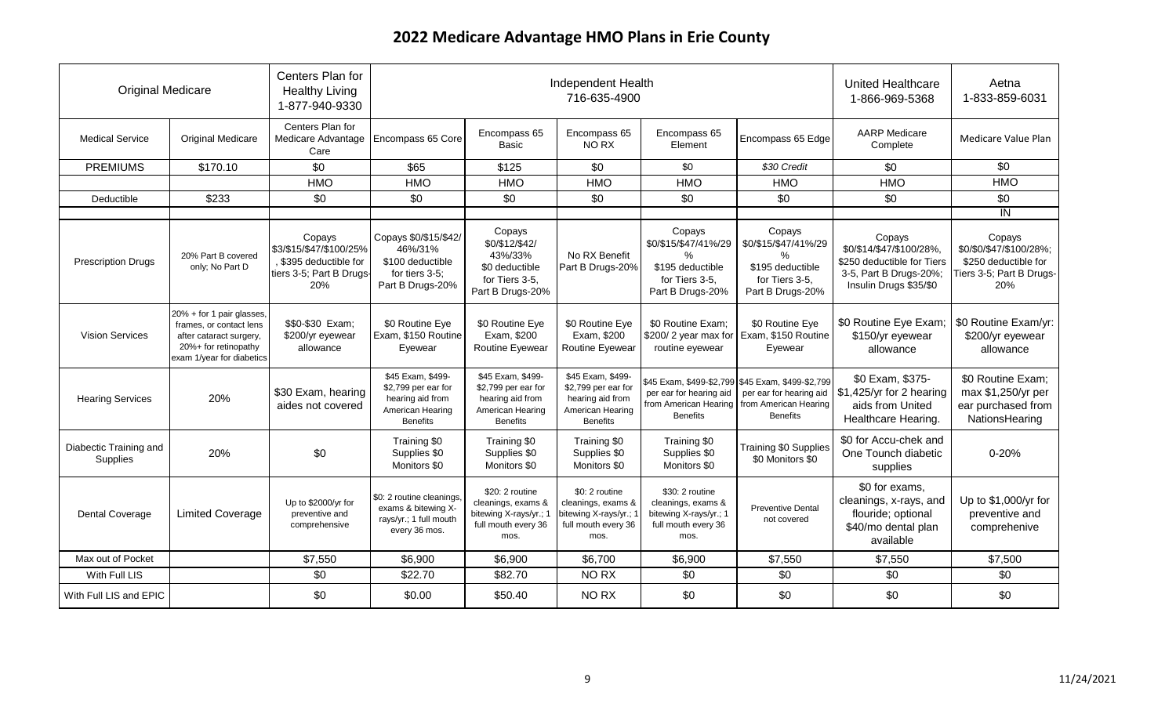| <b>Original Medicare</b>           |                                                                                                                                      | Centers Plan for<br><b>Healthy Living</b><br>1-877-940-9330                                    |                                                                                                     | Independent Health                                                                                  |                                                                                                     | <b>United Healthcare</b><br>1-866-969-5368                                                       | Aetna<br>1-833-859-6031                                                                                                  |                                                                                                                      |                                                                                              |
|------------------------------------|--------------------------------------------------------------------------------------------------------------------------------------|------------------------------------------------------------------------------------------------|-----------------------------------------------------------------------------------------------------|-----------------------------------------------------------------------------------------------------|-----------------------------------------------------------------------------------------------------|--------------------------------------------------------------------------------------------------|--------------------------------------------------------------------------------------------------------------------------|----------------------------------------------------------------------------------------------------------------------|----------------------------------------------------------------------------------------------|
| <b>Medical Service</b>             | <b>Original Medicare</b>                                                                                                             | Centers Plan for<br>Medicare Advantage<br>Care                                                 | Encompass 65 Core                                                                                   | Encompass 65<br>Basic                                                                               | Encompass 65<br>NO RX                                                                               | Encompass 65<br>Element                                                                          | Encompass 65 Edge                                                                                                        | <b>AARP</b> Medicare<br>Complete                                                                                     | Medicare Value Plan                                                                          |
| <b>PREMIUMS</b>                    | \$170.10                                                                                                                             | \$0                                                                                            | \$65                                                                                                | \$125                                                                                               | \$0                                                                                                 | \$0                                                                                              | \$30 Credit                                                                                                              | \$0                                                                                                                  | \$0                                                                                          |
|                                    |                                                                                                                                      | <b>HMO</b>                                                                                     | <b>HMO</b>                                                                                          | <b>HMO</b>                                                                                          | <b>HMO</b>                                                                                          | <b>HMO</b>                                                                                       | <b>HMO</b>                                                                                                               | <b>HMO</b>                                                                                                           | <b>HMO</b>                                                                                   |
| Deductible                         | \$233                                                                                                                                | \$0                                                                                            | \$0                                                                                                 | \$0                                                                                                 | \$0                                                                                                 | \$0                                                                                              | \$0                                                                                                                      | \$0                                                                                                                  | $\overline{30}$                                                                              |
|                                    |                                                                                                                                      |                                                                                                |                                                                                                     |                                                                                                     |                                                                                                     |                                                                                                  |                                                                                                                          |                                                                                                                      | IN                                                                                           |
| <b>Prescription Drugs</b>          | 20% Part B covered<br>only; No Part D                                                                                                | Copays<br>\$3/\$15/\$47/\$100/25%<br>, \$395 deductible for<br>tiers 3-5; Part B Drugs-<br>20% | Copays \$0/\$15/\$42/<br>46%/31%<br>\$100 deductible<br>for tiers 3-5;<br>Part B Drugs-20%          | Copays<br>\$0/\$12/\$42/<br>43%/33%<br>\$0 deductible<br>for Tiers 3-5.<br>Part B Drugs-20%         | No RX Benefit<br>Part B Drugs-20%                                                                   | Copays<br>\$0/\$15/\$47/41%/29<br>$\%$<br>\$195 deductible<br>for Tiers 3-5.<br>Part B Drugs-20% | Copays<br>\$0/\$15/\$47/41%/29<br>$\frac{0}{2}$<br>\$195 deductible<br>for Tiers 3-5.<br>Part B Drugs-20%                | Copays<br>\$0/\$14/\$47/\$100/28%,<br>\$250 deductible for Tiers<br>3-5, Part B Drugs-20%;<br>Insulin Drugs \$35/\$0 | Copays<br>\$0/\$0/\$47/\$100/28%;<br>\$250 deductible for<br>Tiers 3-5; Part B Drugs-<br>20% |
| <b>Vision Services</b>             | 20% + for 1 pair glasses,<br>frames, or contact lens<br>after cataract surgery,<br>20%+ for retinopathy<br>exam 1/year for diabetics | \$\$0-\$30 Exam;<br>\$200/yr eyewear<br>allowance                                              | \$0 Routine Eye<br>Exam, \$150 Routine<br>Evewear                                                   | \$0 Routine Eye<br>Exam, \$200<br>Routine Eyewear                                                   | \$0 Routine Eye<br>Exam, \$200<br>Routine Eyewear                                                   | \$0 Routine Exam:<br>\$200/2 year max for<br>routine eyewear                                     | \$0 Routine Eye<br>Exam, \$150 Routine<br>Eyewear                                                                        | \$0 Routine Eye Exam;<br>\$150/yr eyewear<br>allowance                                                               | \$0 Routine Exam/yr:<br>\$200/yr eyewear<br>allowance                                        |
| <b>Hearing Services</b>            | 20%                                                                                                                                  | \$30 Exam, hearing<br>aides not covered                                                        | \$45 Exam, \$499-<br>\$2,799 per ear for<br>hearing aid from<br>American Hearing<br><b>Benefits</b> | \$45 Exam, \$499-<br>\$2,799 per ear for<br>hearing aid from<br>American Hearing<br><b>Benefits</b> | \$45 Exam, \$499-<br>\$2,799 per ear for<br>hearing aid from<br>American Hearing<br><b>Benefits</b> | per ear for hearing aid<br>from American Hearing<br><b>Benefits</b>                              | \$45 Exam, \$499-\$2,799 \$45 Exam, \$499-\$2,799<br>per ear for hearing aid<br>from American Hearing<br><b>Benefits</b> | \$0 Exam, \$375-<br>\$1,425/yr for 2 hearing<br>aids from United<br>Healthcare Hearing.                              | \$0 Routine Exam;<br>max \$1,250/yr per<br>ear purchased from<br>NationsHearing              |
| Diabectic Training and<br>Supplies | 20%                                                                                                                                  | \$0                                                                                            | Training \$0<br>Supplies \$0<br>Monitors \$0                                                        | Training \$0<br>Supplies \$0<br>Monitors \$0                                                        | Training \$0<br>Supplies \$0<br>Monitors \$0                                                        | Training \$0<br>Supplies \$0<br>Monitors \$0                                                     | Training \$0 Supplies<br>\$0 Monitors \$0                                                                                | \$0 for Accu-chek and<br>One Tounch diabetic<br>supplies                                                             | $0 - 20%$                                                                                    |
| <b>Dental Coverage</b>             | <b>Limited Coverage</b>                                                                                                              | Up to \$2000/yr for<br>preventive and<br>comprehensive                                         | \$0: 2 routine cleanings,<br>exams & bitewing X-<br>rays/yr.; 1 full mouth<br>every 36 mos.         | \$20: 2 routine<br>cleanings, exams &<br>bitewing X-rays/yr.; 1<br>full mouth every 36<br>mos.      | \$0:2 routine<br>cleanings, exams &<br>bitewing X-rays/yr.; 1<br>full mouth every 36<br>mos.        | \$30: 2 routine<br>cleanings, exams &<br>bitewing X-rays/yr.; 1<br>full mouth every 36<br>mos.   | <b>Preventive Dental</b><br>not covered                                                                                  | \$0 for exams,<br>cleanings, x-rays, and<br>flouride; optional<br>\$40/mo dental plan<br>available                   | Up to \$1,000/yr for<br>preventive and<br>comprehenive                                       |
| Max out of Pocket                  |                                                                                                                                      | \$7,550                                                                                        | \$6,900                                                                                             | \$6,900                                                                                             | \$6,700                                                                                             | \$6,900                                                                                          | \$7,550                                                                                                                  | \$7,550                                                                                                              | \$7,500                                                                                      |
| With Full LIS                      |                                                                                                                                      | \$0                                                                                            | \$22.70                                                                                             | \$82.70                                                                                             | NO RX                                                                                               | \$0                                                                                              | \$0                                                                                                                      | \$0                                                                                                                  | \$0                                                                                          |
| With Full LIS and EPIC             |                                                                                                                                      | \$0                                                                                            | \$0.00                                                                                              | \$50.40                                                                                             | NO RX                                                                                               | \$0                                                                                              | \$0                                                                                                                      | \$0                                                                                                                  | \$0                                                                                          |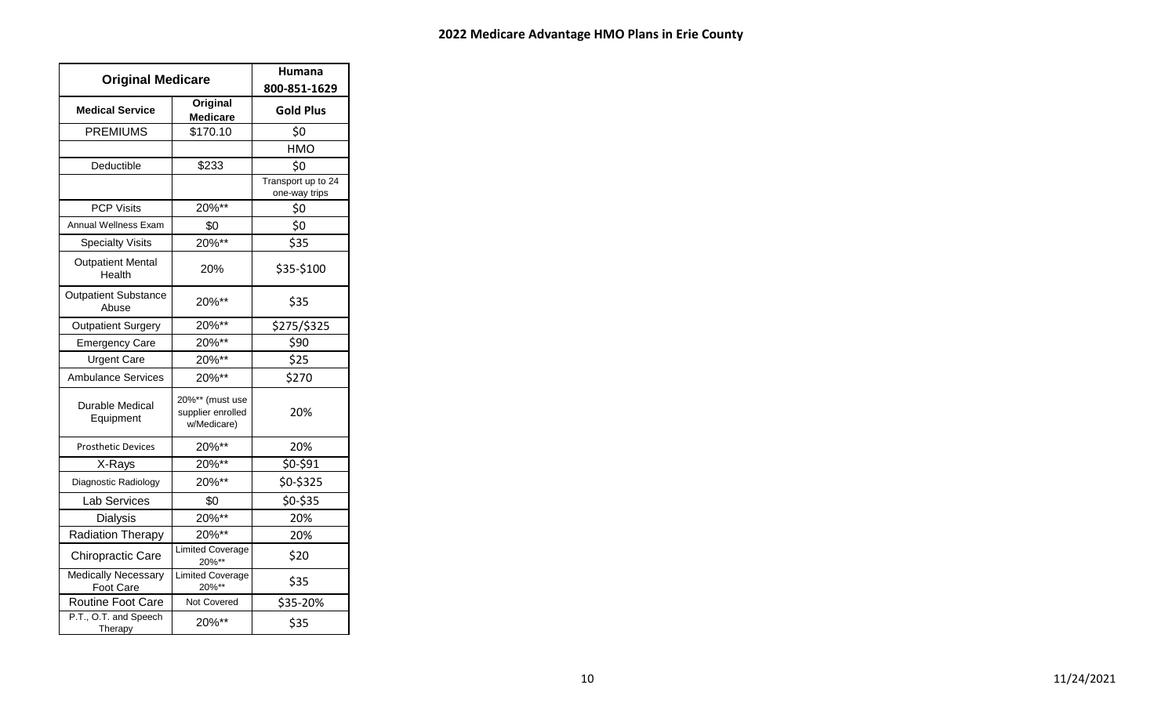| <b>Original Medicare</b>                |                                                     | Humana<br>800-851-1629              |
|-----------------------------------------|-----------------------------------------------------|-------------------------------------|
| <b>Medical Service</b>                  | Original<br><b>Medicare</b>                         | <b>Gold Plus</b>                    |
| <b>PREMIUMS</b>                         | \$170.10                                            | \$0                                 |
|                                         |                                                     | HMO                                 |
| Deductible                              | \$233                                               | \$0                                 |
|                                         |                                                     | Transport up to 24<br>one-way trips |
| <b>PCP Visits</b>                       | 20%**                                               | \$0                                 |
| Annual Wellness Exam                    | \$0                                                 | \$0                                 |
| <b>Specialty Visits</b>                 | 20%**                                               | \$35                                |
| <b>Outpatient Mental</b><br>Health      | 20%                                                 | \$35-\$100                          |
| <b>Outpatient Substance</b><br>Abuse    | 20%**                                               | \$35                                |
| <b>Outpatient Surgery</b>               | 20%**                                               | \$275/\$325                         |
| <b>Emergency Care</b>                   | 20%**                                               | \$90                                |
| <b>Urgent Care</b>                      | 20%**                                               | \$25                                |
| <b>Ambulance Services</b>               | 20%**                                               | \$270                               |
| Durable Medical<br>Equipment            | 20%** (must use<br>supplier enrolled<br>w/Medicare) | 20%                                 |
| <b>Prosthetic Devices</b>               | 20%**                                               | 20%                                 |
| X-Rays                                  | 20%**                                               | \$0-\$91                            |
| Diagnostic Radiology                    | 20%**                                               | \$0-\$325                           |
| Lab Services                            | \$0                                                 | \$0-\$35                            |
| <b>Dialysis</b>                         | 20%**                                               | 20%                                 |
| Radiation Therapy                       | 20%**                                               | 20%                                 |
| Chiropractic Care                       | <b>Limited Coverage</b><br>20%**                    | \$20                                |
| <b>Medically Necessary</b><br>Foot Care | Limited Coverage<br>20%**                           | \$35                                |
| Routine Foot Care                       | Not Covered                                         | \$35-20%                            |
| P.T., O.T. and Speech<br>Therapy        | 20%**                                               | \$35                                |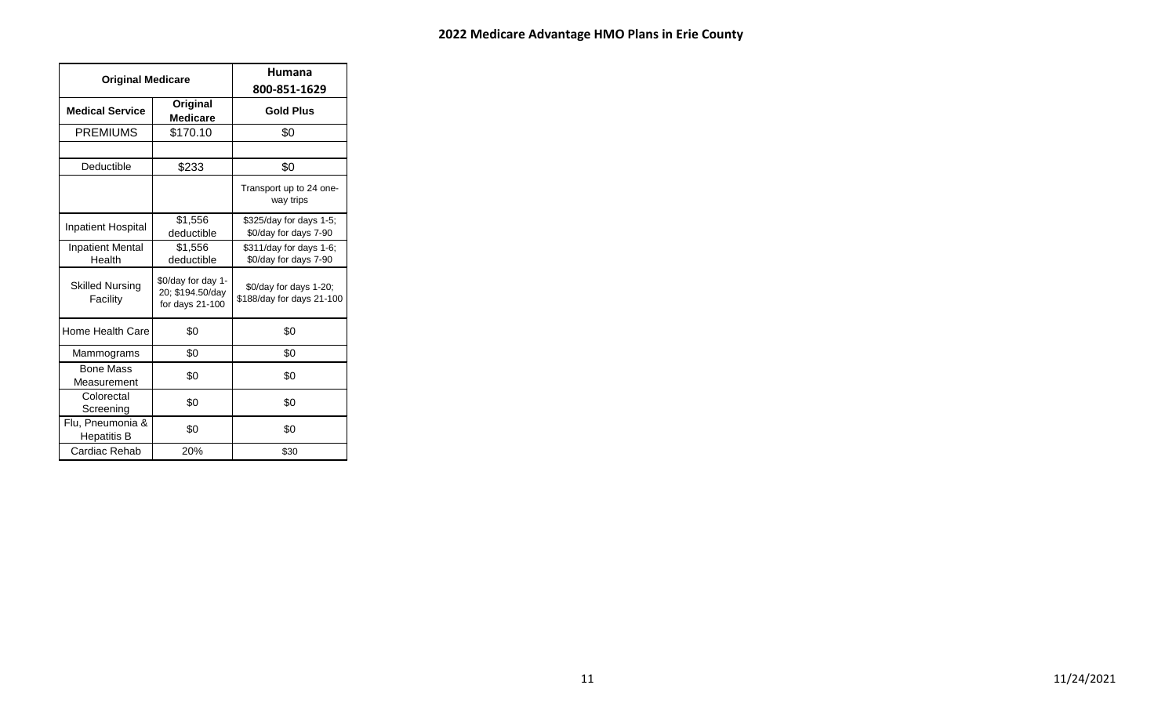| <b>Original Medicare</b>               |                                                             | Humana<br>800-851-1629                              |
|----------------------------------------|-------------------------------------------------------------|-----------------------------------------------------|
| <b>Medical Service</b>                 | Original<br><b>Medicare</b>                                 | <b>Gold Plus</b>                                    |
| <b>PREMIUMS</b>                        | \$170.10                                                    | \$0                                                 |
| Deductible                             | \$233                                                       | \$0                                                 |
|                                        |                                                             | Transport up to 24 one-<br>way trips                |
| <b>Inpatient Hospital</b>              | \$1,556<br>deductible                                       | \$325/day for days 1-5;<br>\$0/day for days 7-90    |
| <b>Inpatient Mental</b><br>Health      | \$1,556<br>deductible                                       | \$311/day for days 1-6;<br>\$0/day for days 7-90    |
| <b>Skilled Nursing</b><br>Facility     | \$0/day for day 1-<br>20; \$194.50/day<br>for days $21-100$ | \$0/day for days 1-20;<br>\$188/day for days 21-100 |
| Home Health Care                       | \$0                                                         | \$0                                                 |
| Mammograms                             | \$0                                                         | \$0                                                 |
| <b>Bone Mass</b><br>Measurement        | \$0                                                         | \$0                                                 |
| Colorectal<br>Screening                | \$0                                                         | \$0                                                 |
| Flu, Pneumonia &<br><b>Hepatitis B</b> | \$0                                                         | \$0                                                 |
| Cardiac Rehab                          | 20%                                                         | \$30                                                |